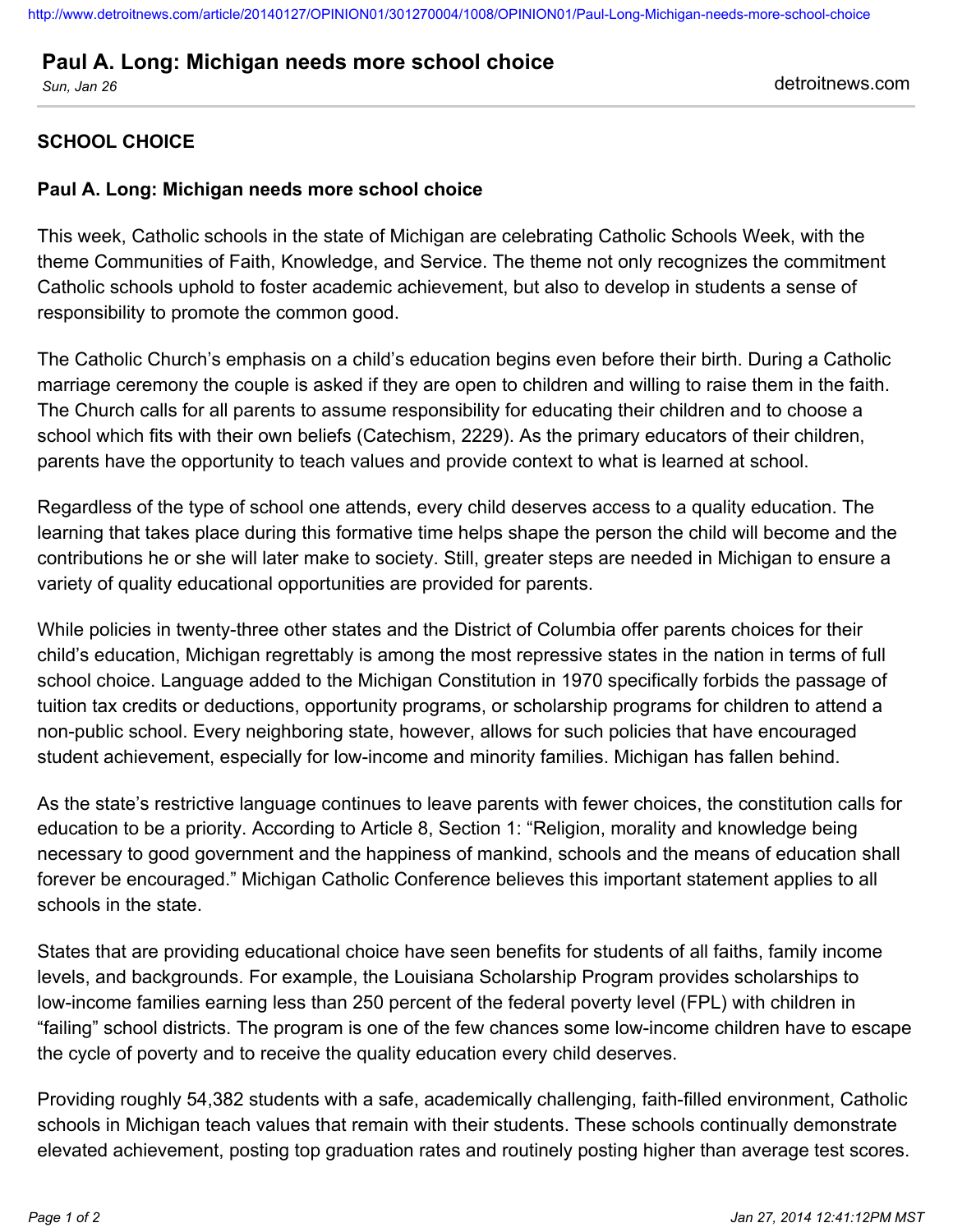<http://www.detroitnews.com/article/20140127/OPINION01/301270004/1008/OPINION01/Paul-Long-Michigan-needs-more-school-choice>

## **Paul A. Long: Michigan needs more school choice**

*Sun, Jan 26* detroitnews.com

## **SCHOOL CHOICE**

## **Paul A. Long: Michigan needs more school choice**

This week, Catholic schools in the state of Michigan are celebrating Catholic Schools Week, with the theme Communities of Faith, Knowledge, and Service. The theme not only recognizes the commitment Catholic schools uphold to foster academic achievement, but also to develop in students a sense of responsibility to promote the common good.

The Catholic Church's emphasis on a child's education begins even before their birth. During a Catholic marriage ceremony the couple is asked if they are open to children and willing to raise them in the faith. The Church calls for all parents to assume responsibility for educating their children and to choose a school which fits with their own beliefs (Catechism, 2229). As the primary educators of their children, parents have the opportunity to teach values and provide context to what is learned at school.

Regardless of the type of school one attends, every child deserves access to a quality education. The learning that takes place during this formative time helps shape the person the child will become and the contributions he or she will later make to society. Still, greater steps are needed in Michigan to ensure a variety of quality educational opportunities are provided for parents.

While policies in twenty-three other states and the District of Columbia offer parents choices for their child's education, Michigan regrettably is among the most repressive states in the nation in terms of full school choice. Language added to the Michigan Constitution in 1970 specifically forbids the passage of tuition tax credits or deductions, opportunity programs, or scholarship programs for children to attend a non-public school. Every neighboring state, however, allows for such policies that have encouraged student achievement, especially for low-income and minority families. Michigan has fallen behind.

As the state's restrictive language continues to leave parents with fewer choices, the constitution calls for education to be a priority. According to Article 8, Section 1: "Religion, morality and knowledge being necessary to good government and the happiness of mankind, schools and the means of education shall forever be encouraged." Michigan Catholic Conference believes this important statement applies to all schools in the state.

States that are providing educational choice have seen benefits for students of all faiths, family income levels, and backgrounds. For example, the Louisiana Scholarship Program provides scholarships to low-income families earning less than 250 percent of the federal poverty level (FPL) with children in "failing" school districts. The program is one of the few chances some low-income children have to escape the cycle of poverty and to receive the quality education every child deserves.

Providing roughly 54,382 students with a safe, academically challenging, faith-filled environment, Catholic schools in Michigan teach values that remain with their students. These schools continually demonstrate elevated achievement, posting top graduation rates and routinely posting higher than average test scores.